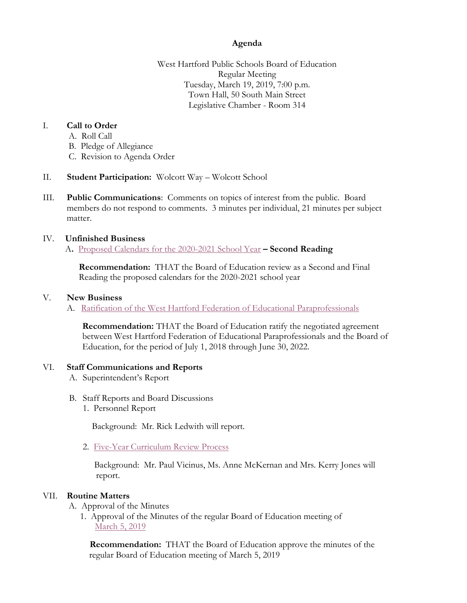# **Agenda**

West Hartford Public Schools Board of Education Regular Meeting Tuesday, March 19, 2019, 7:00 p.m. Town Hall, 50 South Main Street Legislative Chamber - Room 314

# I. **Call to Order**

- A. Roll Call
- B. Pledge of Allegiance
- C. Revision to Agenda Order
- II. **Student Participation:** Wolcott Way Wolcott School
- III. **Public Communications**: Comments on topics of interest from the public. Board members do not respond to comments. 3 minutes per individual, 21 minutes per subject matter.

## IV. **Unfinished Business**

A**.** [Proposed Calendars](https://westhartford.finalsite.com/uploaded/BOE/BOE_Documents/20190319/3-19-19_boilerplate,_2020-2021_proposed_calendars,_2nd_rdg_(1).pdf?1552676159600) for the 2020-2021 School Year **– Second Reading**

 **Recommendation:** THAT the Board of Education review as a Second and Final Reading the proposed calendars for the 2020-2021 school year

## V. **New Business**

A. [Ratification of the West Hartford Federation of Educational Paraprofessionals](https://westhartford.finalsite.com/uploaded/BOE/BOE_Documents/20190319/Ratification_of_paraprofessionals_Contract2019.pdf?1552676203356)

**Recommendation:** THAT the Board of Education ratify the negotiated agreement between West Hartford Federation of Educational Paraprofessionals and the Board of Education, for the period of July 1, 2018 through June 30, 2022.

## VI. **Staff Communications and Reports**

- A. Superintendent's Report
- B. Staff Reports and Board Discussions
	- 1. Personnel Report

Background: Mr. Rick Ledwith will report.

2. [Five-Year Curriculum Review Process](https://westhartford.finalsite.com/uploaded/BOE/BOE_Documents/20190319/5-year_curriculum_review_process.pdf?1552676091419)

 Background: Mr. Paul Vicinus, Ms. Anne McKernan and Mrs. Kerry Jones will report.

## VII. **Routine Matters**

- A. Approval of the Minutes
	- 1. Approval of the Minutes of the regular Board of Education meeting of [March 5, 2019](https://westhartford.finalsite.com/uploaded/BOE/BOE_Documents/20190319/Meeting_Minutes_from_March_5_2019.pdf?1552676055130)

 **Recommendation:** THAT the Board of Education approve the minutes of the regular Board of Education meeting of March 5, 2019